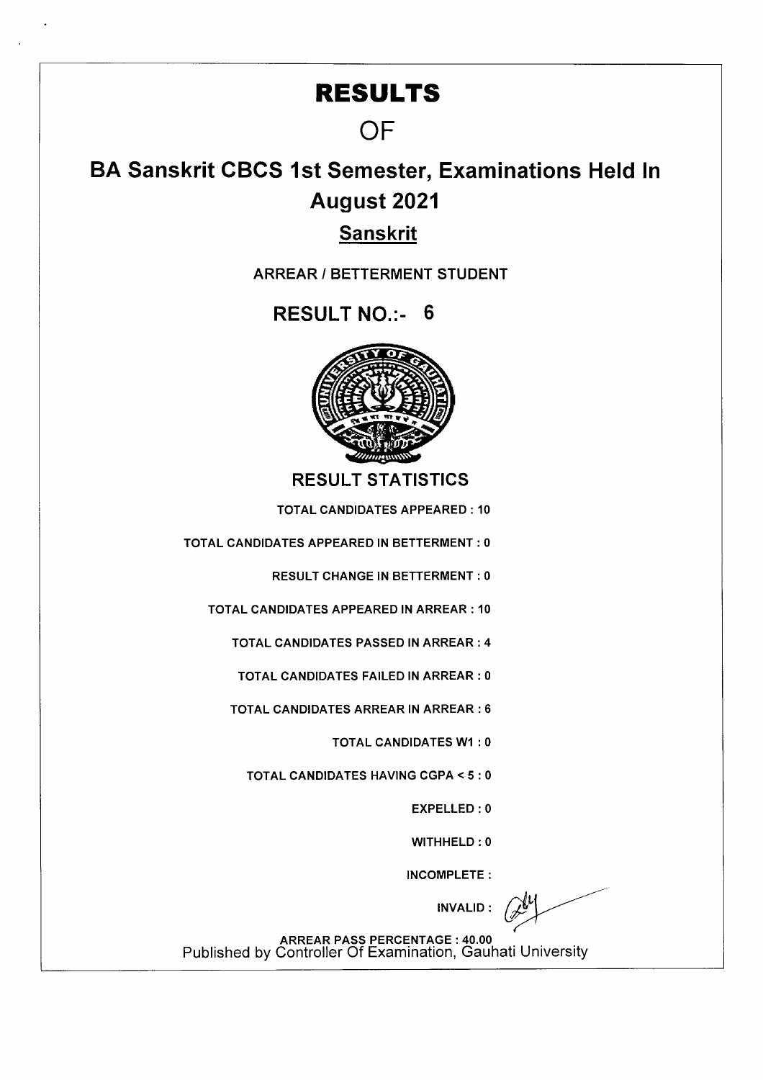## **RESULTS**

## **OF**

## **BA Sanskrit CBCS 1st Semester, Examinations Held In August 2021**

## **Sanskrit**

**ARREAR I BETTERMENT STUDENT** 

**RESULT NO.:- 6** 



**RESULT STATISTICS** 

TOTAL CANDIDATES APPEARED: 10

TOTAL CANDIDATES APPEARED IN BETTERMENT : 0

RESULT CHANGE IN BETTERMENT : 0

TOTAL CANDIDATES APPEARED IN ARREAR : 10

TOTAL CANDIDATES PASSED IN ARREAR : 4

TOTAL CANDIDATES FAILED IN ARREAR : 0

TOTAL CANDIDATES ARREAR IN ARREAR : 6

TOTAL CANDIDATES WI : 0

TOTAL CANDIDATES HAVING CGPA <5 : 0

EXPELLED: 0

WITHHELD : 0

INCOMPLETE:

INVALID:

ARREAR PASS PERCENTAGE : 40.00 Published by Controller Of Examination, Gauhati University